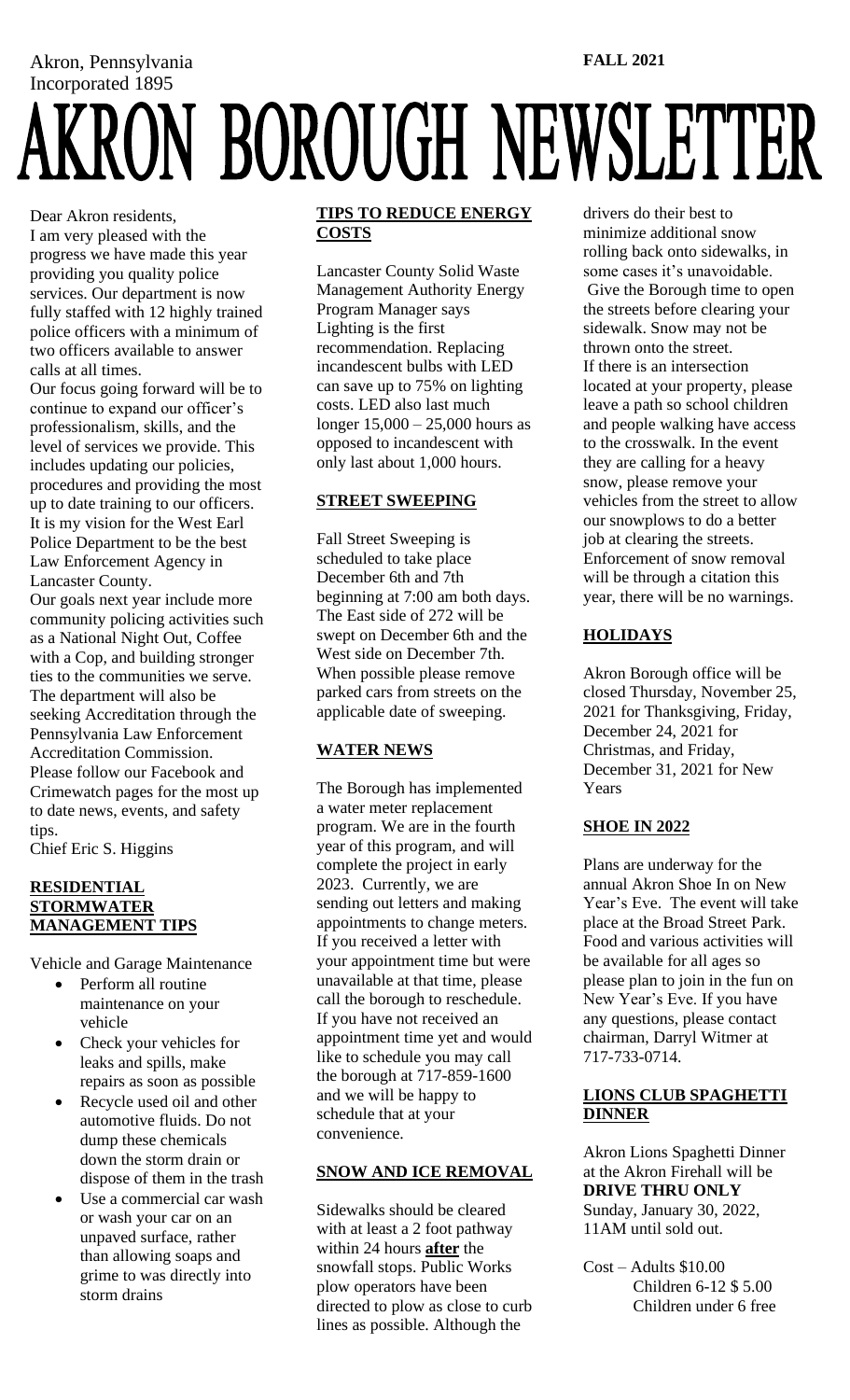Akron, Pennsylvania Incorporated 1895<br>AKRON BOROUGH NEWSLETTER **FALL 2021**

Dear Akron residents, I am very pleased with the progress we have made this year providing you quality police services. Our department is now fully staffed with 12 highly trained police officers with a minimum of two officers available to answer calls at all times.

Our focus going forward will be to continue to expand our officer's professionalism, skills, and the level of services we provide. This includes updating our policies, procedures and providing the most up to date training to our officers. It is my vision for the West Earl Police Department to be the best Law Enforcement Agency in Lancaster County.

Our goals next year include more community policing activities such as a National Night Out, Coffee with a Cop, and building stronger ties to the communities we serve. The department will also be seeking Accreditation through the Pennsylvania Law Enforcement Accreditation Commission. Please follow our Facebook and Crimewatch pages for the most up to date news, events, and safety tips.

Chief Eric S. Higgins

#### **RESIDENTIAL STORMWATER MANAGEMENT TIPS**

Vehicle and Garage Maintenance

- Perform all routine maintenance on your vehicle
- Check your vehicles for leaks and spills, make repairs as soon as possible
- Recycle used oil and other automotive fluids. Do not dump these chemicals down the storm drain or dispose of them in the trash
- Use a commercial car wash or wash your car on an unpaved surface, rather than allowing soaps and grime to was directly into storm drains

#### **TIPS TO REDUCE ENERGY COSTS**

Lancaster County Solid Waste Management Authority Energy Program Manager says Lighting is the first recommendation. Replacing incandescent bulbs with LED can save up to 75% on lighting costs. LED also last much longer 15,000 – 25,000 hours as opposed to incandescent with only last about 1,000 hours.

### **STREET SWEEPING**

Fall Street Sweeping is scheduled to take place December 6th and 7th beginning at 7:00 am both days. The East side of 272 will be swept on December 6th and the West side on December 7th. When possible please remove parked cars from streets on the applicable date of sweeping.

## **WATER NEWS**

The Borough has implemented a water meter replacement program. We are in the fourth year of this program, and will complete the project in early 2023. Currently, we are sending out letters and making appointments to change meters. If you received a letter with your appointment time but were unavailable at that time, please call the borough to reschedule. If you have not received an appointment time yet and would like to schedule you may call the borough at 717-859-1600 and we will be happy to schedule that at your convenience.

## **SNOW AND ICE REMOVAL**

Sidewalks should be cleared with at least a 2 foot pathway within 24 hours **after** the snowfall stops. Public Works plow operators have been directed to plow as close to curb lines as possible. Although the

drivers do their best to minimize additional snow rolling back onto sidewalks, in some cases it's unavoidable. Give the Borough time to open the streets before clearing your sidewalk. Snow may not be thrown onto the street. If there is an intersection located at your property, please leave a path so school children and people walking have access to the crosswalk. In the event they are calling for a heavy snow, please remove your vehicles from the street to allow our snowplows to do a better job at clearing the streets. Enforcement of snow removal will be through a citation this year, there will be no warnings.

# **HOLIDAYS**

Akron Borough office will be closed Thursday, November 25, 2021 for Thanksgiving, Friday, December 24, 2021 for Christmas, and Friday, December 31, 2021 for New Years

## **SHOE IN 2022**

Plans are underway for the annual Akron Shoe In on New Year's Eve. The event will take place at the Broad Street Park. Food and various activities will be available for all ages so please plan to join in the fun on New Year's Eve. If you have any questions, please contact chairman, Darryl Witmer at 717-733-0714.

#### **LIONS CLUB SPAGHETTI DINNER**

Akron Lions Spaghetti Dinner at the Akron Firehall will be **DRIVE THRU ONLY** Sunday, January 30, 2022, 11AM until sold out.

Cost – Adults \$10.00 Children 6-12 \$ 5.00 Children under 6 free